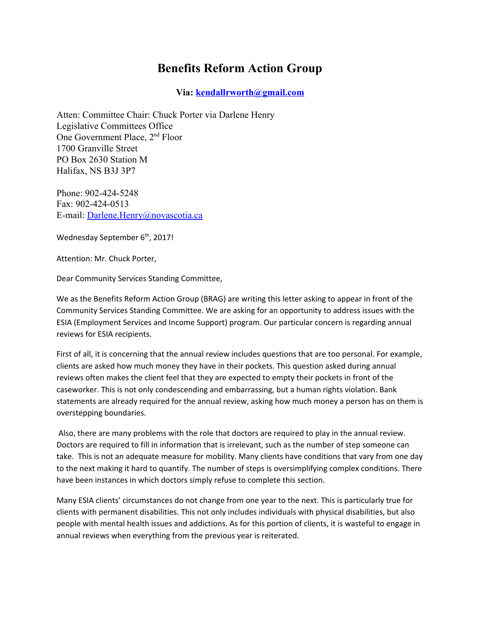## **Benefits Reform Action Group**

## **Via: [kendallrworth@gmail.com](mailto:kendallrworth@gmail.com)**

Atten: Committee Chair: Chuck Porter via Darlene Henry Legislative Committees Office One Government Place, 2nd Floor 1700 Granville Street PO Box 2630 Station M Halifax, NS B3J 3P7

Phone: 902-424-5248 Fax: 902-424-0513 E-mail: [Darlene.Henry@novascotia.ca](mailto:Darlene.Henry@novascotia.ca)

Wednesday September 6<sup>th</sup>, 2017!

Attention: Mr. Chuck Porter,

Dear Community Services Standing Committee,

We as the Benefits Reform Action Group (BRAG) are writing this letter asking to appear in front of the Community Services Standing Committee. We are asking for an opportunity to address issues with the ESIA (Employment Services and Income Support) program. Our particular concern is regarding annual reviews for ESIA recipients.

First of all, it is concerning that the annual review includes questions that are too personal. For example, clients are asked how much money they have in their pockets. This question asked during annual reviews often makes the client feel that they are expected to empty their pockets in front of the caseworker. This is not only condescending and embarrassing, but a human rights violation. Bank statements are already required for the annual review, asking how much money a person has on them is overstepping boundaries.

 Also, there are many problems with the role that doctors are required to play in the annual review. Doctors are required to fill in information that is irrelevant, such as the number of step someone can take. This is not an adequate measure for mobility. Many clients have conditions that vary from one day to the next making it hard to quantify. The number of steps is oversimplifying complex conditions. There have been instances in which doctors simply refuse to complete this section.

Many ESIA clients' circumstances do not change from one year to the next. This is particularly true for clients with permanent disabilities. This not only includes individuals with physical disabilities, but also people with mental health issues and addictions. As for this portion of clients, it is wasteful to engage in annual reviews when everything from the previous year is reiterated.